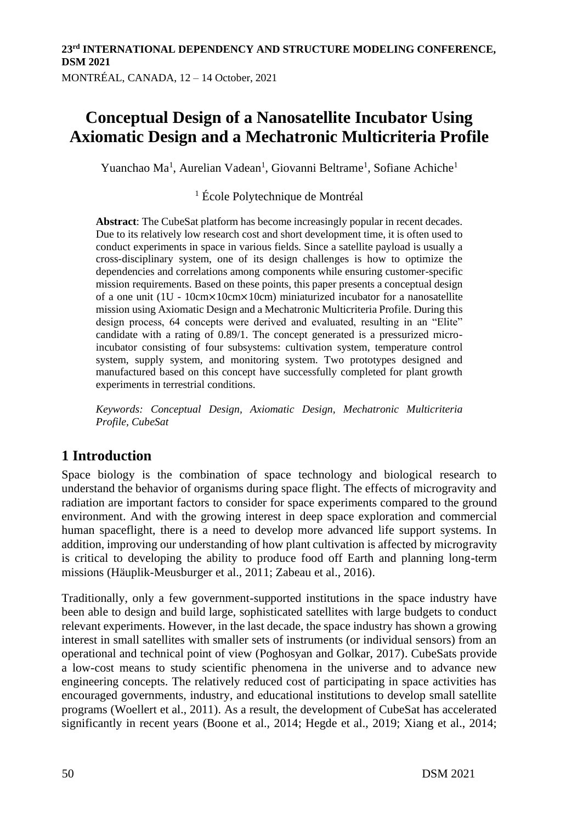Yuanchao Ma<sup>1</sup>, Aurelian Vadean<sup>1</sup>, Giovanni Beltrame<sup>1</sup>, Sofiane Achiche<sup>1</sup>

#### <sup>1</sup> École Polytechnique de Montréal

**Abstract**: The CubeSat platform has become increasingly popular in recent decades. Due to its relatively low research cost and short development time, it is often used to conduct experiments in space in various fields. Since a satellite payload is usually a cross-disciplinary system, one of its design challenges is how to optimize the dependencies and correlations among components while ensuring customer-specific mission requirements. Based on these points, this paper presents a conceptual design of a one unit (1U - 10cm×10cm×10cm) miniaturized incubator for a nanosatellite mission using Axiomatic Design and a Mechatronic Multicriteria Profile. During this design process, 64 concepts were derived and evaluated, resulting in an "Elite" candidate with a rating of 0.89/1. The concept generated is a pressurized microincubator consisting of four subsystems: cultivation system, temperature control system, supply system, and monitoring system. Two prototypes designed and manufactured based on this concept have successfully completed for plant growth experiments in terrestrial conditions.

*Keywords: Conceptual Design, Axiomatic Design, Mechatronic Multicriteria Profile, CubeSat*

# **1 Introduction**

Space biology is the combination of space technology and biological research to understand the behavior of organisms during space flight. The effects of microgravity and radiation are important factors to consider for space experiments compared to the ground environment. And with the growing interest in deep space exploration and commercial human spaceflight, there is a need to develop more advanced life support systems. In addition, improving our understanding of how plant cultivation is affected by microgravity is critical to developing the ability to produce food off Earth and planning long-term missions (Häuplik-Meusburger et al., 2011; Zabeau et al., 2016).

Traditionally, only a few government-supported institutions in the space industry have been able to design and build large, sophisticated satellites with large budgets to conduct relevant experiments. However, in the last decade, the space industry has shown a growing interest in small satellites with smaller sets of instruments (or individual sensors) from an operational and technical point of view (Poghosyan and Golkar, 2017). CubeSats provide a low-cost means to study scientific phenomena in the universe and to advance new engineering concepts. The relatively reduced cost of participating in space activities has encouraged governments, industry, and educational institutions to develop small satellite programs (Woellert et al., 2011). As a result, the development of CubeSat has accelerated significantly in recent years (Boone et al., 2014; Hegde et al., 2019; Xiang et al., 2014;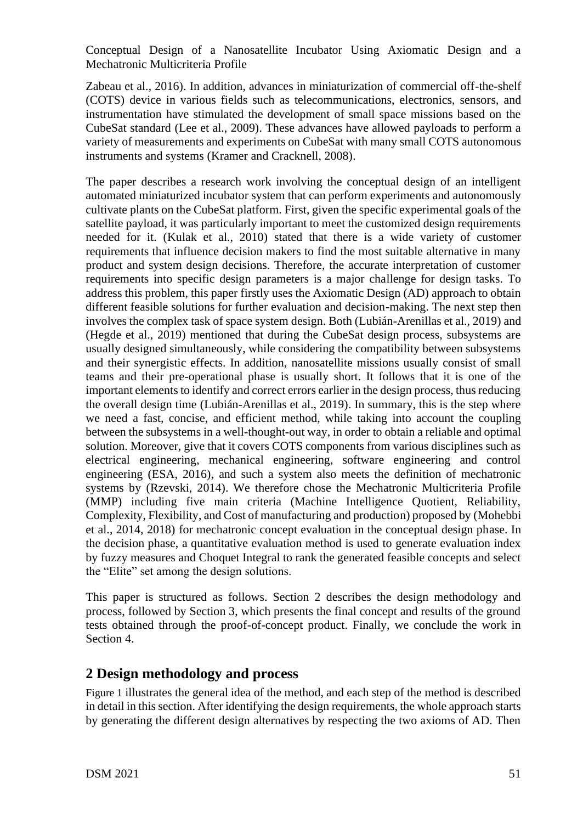Zabeau et al., 2016). In addition, advances in miniaturization of commercial off-the-shelf (COTS) device in various fields such as telecommunications, electronics, sensors, and instrumentation have stimulated the development of small space missions based on the CubeSat standard (Lee et al., 2009). These advances have allowed payloads to perform a variety of measurements and experiments on CubeSat with many small COTS autonomous instruments and systems (Kramer and Cracknell, 2008).

The paper describes a research work involving the conceptual design of an intelligent automated miniaturized incubator system that can perform experiments and autonomously cultivate plants on the CubeSat platform. First, given the specific experimental goals of the satellite payload, it was particularly important to meet the customized design requirements needed for it. (Kulak et al., 2010) stated that there is a wide variety of customer requirements that influence decision makers to find the most suitable alternative in many product and system design decisions. Therefore, the accurate interpretation of customer requirements into specific design parameters is a major challenge for design tasks. To address this problem, this paper firstly uses the Axiomatic Design (AD) approach to obtain different feasible solutions for further evaluation and decision-making. The next step then involves the complex task of space system design. Both (Lubián-Arenillas et al., 2019) and (Hegde et al., 2019) mentioned that during the CubeSat design process, subsystems are usually designed simultaneously, while considering the compatibility between subsystems and their synergistic effects. In addition, nanosatellite missions usually consist of small teams and their pre-operational phase is usually short. It follows that it is one of the important elements to identify and correct errors earlier in the design process, thus reducing the overall design time (Lubián-Arenillas et al., 2019). In summary, this is the step where we need a fast, concise, and efficient method, while taking into account the coupling between the subsystems in a well-thought-out way, in order to obtain a reliable and optimal solution. Moreover, give that it covers COTS components from various disciplines such as electrical engineering, mechanical engineering, software engineering and control engineering (ESA, 2016), and such a system also meets the definition of mechatronic systems by (Rzevski, 2014). We therefore chose the Mechatronic Multicriteria Profile (MMP) including five main criteria (Machine Intelligence Quotient, Reliability, Complexity, Flexibility, and Cost of manufacturing and production) proposed by (Mohebbi et al., 2014, 2018) for mechatronic concept evaluation in the conceptual design phase. In the decision phase, a quantitative evaluation method is used to generate evaluation index by fuzzy measures and Choquet Integral to rank the generated feasible concepts and select the "Elite" set among the design solutions.

This paper is structured as follows. Section 2 describes the design methodology and process, followed by Section 3, which presents the final concept and results of the ground tests obtained through the proof-of-concept product. Finally, we conclude the work in Section 4.

### **2 Design methodology and process**

Figure 1 illustrates the general idea of the method, and each step of the method is described in detail in this section. After identifying the design requirements, the whole approach starts by generating the different design alternatives by respecting the two axioms of AD. Then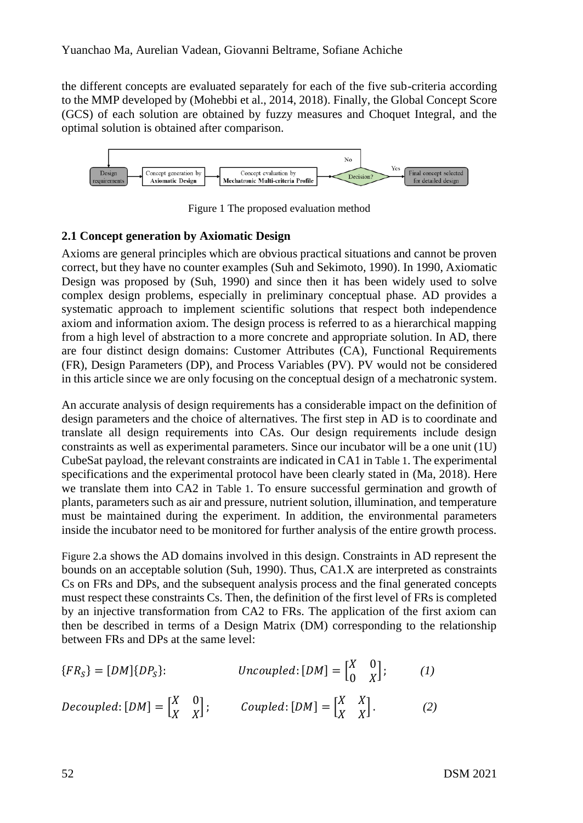the different concepts are evaluated separately for each of the five sub-criteria according to the MMP developed by (Mohebbi et al., 2014, 2018). Finally, the Global Concept Score (GCS) of each solution are obtained by fuzzy measures and Choquet Integral, and the optimal solution is obtained after comparison.



Figure 1 The proposed evaluation method

#### **2.1 Concept generation by Axiomatic Design**

Axioms are general principles which are obvious practical situations and cannot be proven correct, but they have no counter examples (Suh and Sekimoto, 1990). In 1990, Axiomatic Design was proposed by (Suh, 1990) and since then it has been widely used to solve complex design problems, especially in preliminary conceptual phase. AD provides a systematic approach to implement scientific solutions that respect both independence axiom and information axiom. The design process is referred to as a hierarchical mapping from a high level of abstraction to a more concrete and appropriate solution. In AD, there are four distinct design domains: Customer Attributes (CA), Functional Requirements (FR), Design Parameters (DP), and Process Variables (PV). PV would not be considered in this article since we are only focusing on the conceptual design of a mechatronic system.

An accurate analysis of design requirements has a considerable impact on the definition of design parameters and the choice of alternatives. The first step in AD is to coordinate and translate all design requirements into CAs. Our design requirements include design constraints as well as experimental parameters. Since our incubator will be a one unit (1U) CubeSat payload, the relevant constraints are indicated in CA1 in Table 1. The experimental specifications and the experimental protocol have been clearly stated in (Ma, 2018). Here we translate them into CA2 in Table 1. To ensure successful germination and growth of plants, parameters such as air and pressure, nutrient solution, illumination, and temperature must be maintained during the experiment. In addition, the environmental parameters inside the incubator need to be monitored for further analysis of the entire growth process.

Figure 2.a shows the AD domains involved in this design. Constraints in AD represent the bounds on an acceptable solution (Suh, 1990). Thus, CA1.X are interpreted as constraints Cs on FRs and DPs, and the subsequent analysis process and the final generated concepts must respect these constraints Cs. Then, the definition of the first level of FRs is completed by an injective transformation from CA2 to FRs. The application of the first axiom can then be described in terms of a Design Matrix (DM) corresponding to the relationship between FRs and DPs at the same level:

$$
\{FR_S\} = [DM]\{DP_S\}:\qquad\qquad Uncoupled: [DM] = \begin{bmatrix} X & 0 \\ 0 & X \end{bmatrix};\qquad(1)
$$

Decoupled: 
$$
[DM] = \begin{bmatrix} X & 0 \\ X & X \end{bmatrix}
$$
; Coupled:  $[DM] = \begin{bmatrix} X & X \\ X & X \end{bmatrix}$ . (2)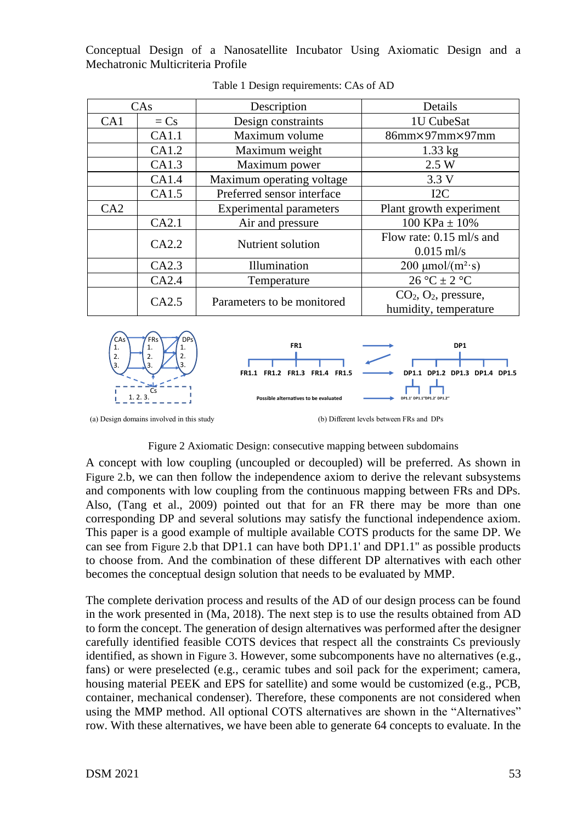| CAs |        | Description                | Details                                          |  |
|-----|--------|----------------------------|--------------------------------------------------|--|
| CA1 | $= Cs$ | Design constraints         | 1U CubeSat                                       |  |
|     | CA1.1  | Maximum volume             | $86mm \times 97mm \times 97mm$                   |  |
|     | CA1.2  | Maximum weight             | $1.33$ kg                                        |  |
|     | CA1.3  | Maximum power              | 2.5 W                                            |  |
|     | CA1.4  | Maximum operating voltage  | 3.3V                                             |  |
|     | CA1.5  | Preferred sensor interface | I2C                                              |  |
| CA2 |        | Experimental parameters    | Plant growth experiment                          |  |
|     | CA2.1  | Air and pressure           | 100 KPa $\pm$ 10%                                |  |
|     | CA2.2  | Nutrient solution          | Flow rate: $0.15$ ml/s and<br>$0.015$ ml/s       |  |
|     | CA2.3  | Illumination               | $200 \mu \text{mol}/(\text{m}^2 \cdot \text{s})$ |  |
|     | CA2.4  | Temperature                | $26 °C \pm 2 °C$                                 |  |
|     | CA2.5  | Parameters to be monitored | $CO2, O2$ , pressure,<br>humidity, temperature   |  |

Table 1 Design requirements: CAs of AD



(a) Design domains involved in this study (b) Different levels between FRs and DPs

#### Figure 2 Axiomatic Design: consecutive mapping between subdomains

A concept with low coupling (uncoupled or decoupled) will be preferred. As shown in Figure 2.b, we can then follow the independence axiom to derive the relevant subsystems and components with low coupling from the continuous mapping between FRs and DPs. Also, (Tang et al., 2009) pointed out that for an FR there may be more than one corresponding DP and several solutions may satisfy the functional independence axiom. This paper is a good example of multiple available COTS products for the same DP. We can see from Figure 2.b that DP1.1 can have both DP1.1' and DP1.1'' as possible products to choose from. And the combination of these different DP alternatives with each other becomes the conceptual design solution that needs to be evaluated by MMP.

The complete derivation process and results of the AD of our design process can be found in the work presented in (Ma, 2018). The next step is to use the results obtained from AD to form the concept. The generation of design alternatives was performed after the designer carefully identified feasible COTS devices that respect all the constraints Cs previously identified, as shown in Figure 3. However, some subcomponents have no alternatives (e.g., fans) or were preselected (e.g., ceramic tubes and soil pack for the experiment; camera, housing material PEEK and EPS for satellite) and some would be customized (e.g., PCB, container, mechanical condenser). Therefore, these components are not considered when using the MMP method. All optional COTS alternatives are shown in the "Alternatives" row. With these alternatives, we have been able to generate 64 concepts to evaluate. In the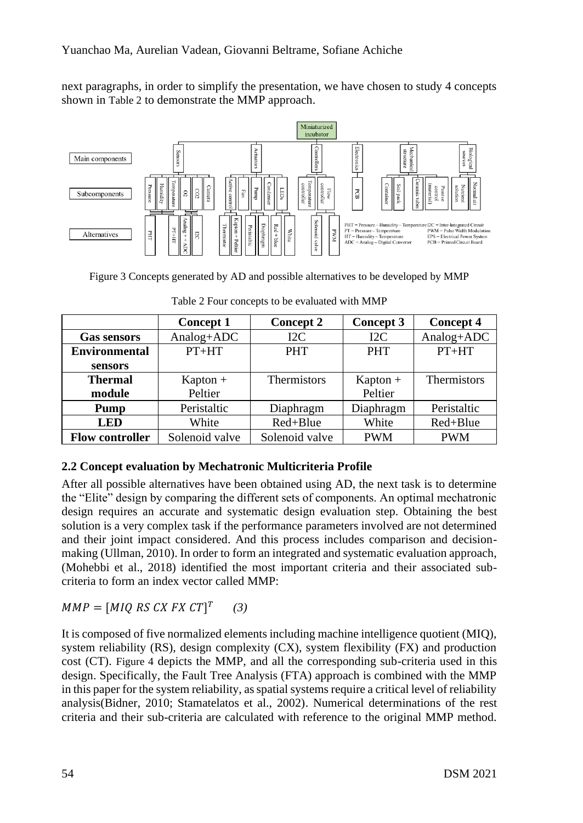next paragraphs, in order to simplify the presentation, we have chosen to study 4 concepts shown in Table 2 to demonstrate the MMP approach.



Figure 3 Concepts generated by AD and possible alternatives to be developed by MMP

|                        | <b>Concept 1</b> | <b>Concept 2</b> | Concept 3       | <b>Concept 4</b>   |
|------------------------|------------------|------------------|-----------------|--------------------|
| <b>Gas sensors</b>     | $Analog+ADC$     | 12 <sub>C</sub>  | 12 <sub>C</sub> | Analog+ADC         |
| <b>Environmental</b>   | $PT+HT$          | <b>PHT</b>       | <b>PHT</b>      | $PT+HT$            |
| sensors                |                  |                  |                 |                    |
| <b>Thermal</b>         | $Kapton +$       | Thermistors      | $Kapton +$      | <b>Thermistors</b> |
| module                 | Peltier          |                  | Peltier         |                    |
| Pump                   | Peristaltic      | Diaphragm        | Diaphragm       | Peristaltic        |
| <b>LED</b>             | White            | Red+Blue         | White           | Red+Blue           |
| <b>Flow controller</b> | Solenoid valve   | Solenoid valve   | <b>PWM</b>      | <b>PWM</b>         |

Table 2 Four concepts to be evaluated with MMP

### **2.2 Concept evaluation by Mechatronic Multicriteria Profile**

After all possible alternatives have been obtained using AD, the next task is to determine the "Elite" design by comparing the different sets of components. An optimal mechatronic design requires an accurate and systematic design evaluation step. Obtaining the best solution is a very complex task if the performance parameters involved are not determined and their joint impact considered. And this process includes comparison and decisionmaking (Ullman, 2010). In order to form an integrated and systematic evaluation approach, (Mohebbi et al., 2018) identified the most important criteria and their associated subcriteria to form an index vector called MMP:

 $MMP = [MIQ\ RS\ CX\ FX\ CT]^T$ *(3)*

It is composed of five normalized elements including machine intelligence quotient (MIQ), system reliability (RS), design complexity (CX), system flexibility (FX) and production cost (CT). Figure 4 depicts the MMP, and all the corresponding sub-criteria used in this design. Specifically, the Fault Tree Analysis (FTA) approach is combined with the MMP in this paper for the system reliability, as spatial systems require a critical level of reliability analysis(Bidner, 2010; Stamatelatos et al., 2002). Numerical determinations of the rest criteria and their sub-criteria are calculated with reference to the original MMP method.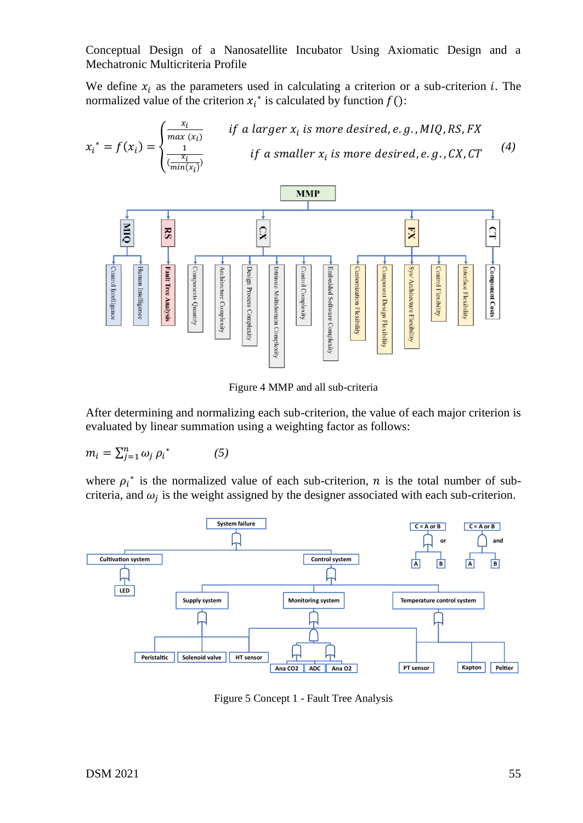We define  $x_i$  as the parameters used in calculating a criterion or a sub-criterion i. The normalized value of the criterion  $x_i^*$  is calculated by function  $f()$ :





Figure 4 MMP and all sub-criteria

After determining and normalizing each sub-criterion, the value of each major criterion is evaluated by linear summation using a weighting factor as follows:

$$
m_i = \sum_{j=1}^n \omega_j \,\rho_i^* \tag{5}
$$

where  $\rho_i^*$  is the normalized value of each sub-criterion, *n* is the total number of subcriteria, and  $\omega_j$  is the weight assigned by the designer associated with each sub-criterion.



Figure 5 Concept 1 - Fault Tree Analysis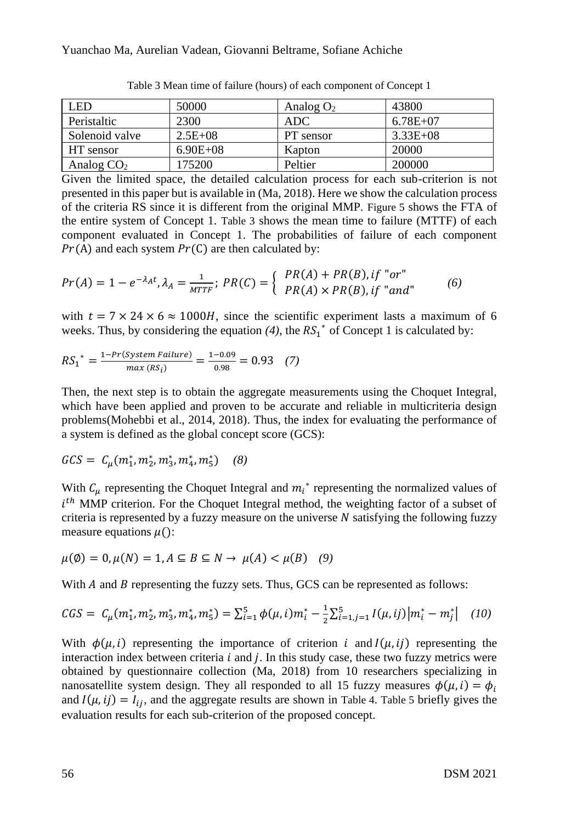| <b>LED</b>     | 50000        | Analog $O_2$ | 43800        |
|----------------|--------------|--------------|--------------|
| Peristaltic    | 2300         | ADC          | $6.78E + 07$ |
| Solenoid valve | $2.5E+08$    | PT sensor    | $3.33E + 08$ |
| HT sensor      | $6.90E + 08$ | Kapton       | 20000        |
| Analog $CO2$   | 175200       | Peltier      | 200000       |

Table 3 Mean time of failure (hours) of each component of Concept 1

Given the limited space, the detailed calculation process for each sub-criterion is not presented in this paper but is available in (Ma, 2018). Here we show the calculation process of the criteria RS since it is different from the original MMP. Figure 5 shows the FTA of the entire system of Concept 1. Table 3 shows the mean time to failure (MTTF) of each component evaluated in Concept 1. The probabilities of failure of each component  $Pr(A)$  and each system  $Pr(C)$  are then calculated by:

$$
Pr(A) = 1 - e^{-\lambda_A t}, \lambda_A = \frac{1}{MTF}; PR(C) = \begin{cases} PR(A) + PR(B), if "or" \\ PR(A) \times PR(B), if "and" \end{cases} (6)
$$

with  $t = 7 \times 24 \times 6 \approx 1000$ *H*, since the scientific experiment lasts a maximum of 6 weeks. Thus, by considering the equation  $(4)$ , the  $RS_1^*$  of Concept 1 is calculated by:

$$
RS_1^* = \frac{1 - Pr(System \, Failure)}{max \, (RS_i)} = \frac{1 - 0.09}{0.98} = 0.93 \quad (7)
$$

Then, the next step is to obtain the aggregate measurements using the Choquet Integral, which have been applied and proven to be accurate and reliable in multicriteria design problems(Mohebbi et al., 2014, 2018). Thus, the index for evaluating the performance of a system is defined as the global concept score (GCS):

$$
GCS = C_{\mu}(m_1^*, m_2^*, m_3^*, m_4^*, m_5^*) \quad (8)
$$

With  $C_{\mu}$  representing the Choquet Integral and  $m_i^*$  representing the normalized values of  $i<sup>th</sup>$  MMP criterion. For the Choquet Integral method, the weighting factor of a subset of criteria is represented by a fuzzy measure on the universe  $N$  satisfying the following fuzzy measure equations  $\mu$ ():

$$
\mu(\emptyset) = 0, \mu(N) = 1, A \subseteq B \subseteq N \to \mu(A) < \mu(B) \quad (9)
$$

With  $A$  and  $B$  representing the fuzzy sets. Thus, GCS can be represented as follows:

$$
CGS = C_{\mu}(m_1^*, m_2^*, m_3^*, m_4^*, m_5^*) = \sum_{i=1}^5 \phi(\mu, i) m_i^* - \frac{1}{2} \sum_{i=1, j=1}^5 I(\mu, ij) |m_i^* - m_j^*| \quad (10)
$$

With  $\phi(\mu, i)$  representing the importance of criterion i and  $I(\mu, i)$  representing the interaction index between criteria  $i$  and  $j$ . In this study case, these two fuzzy metrics were obtained by questionnaire collection (Ma, 2018) from 10 researchers specializing in nanosatellite system design. They all responded to all 15 fuzzy measures  $\phi(\mu, i) = \phi_i$ and  $I(\mu, i j) = I_{i,i}$ , and the aggregate results are shown in Table 4. Table 5 briefly gives the evaluation results for each sub-criterion of the proposed concept.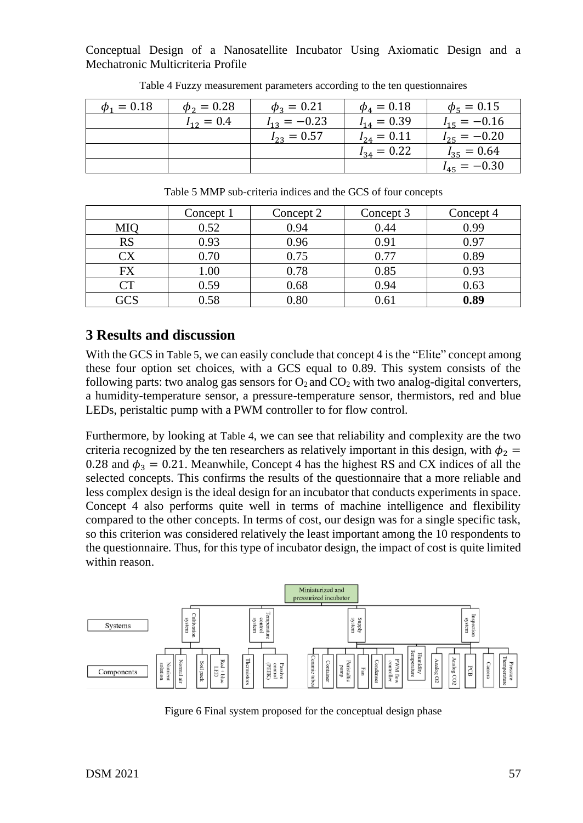| $\phi_1 = 0.18$ | $\phi_2 = 0.28$ | $\phi_3 = 0.21$  | $\phi_4 = 0.18$ | $\phi_5 = 0.15$         |
|-----------------|-----------------|------------------|-----------------|-------------------------|
|                 | $I_{12} = 0.4$  | $I_{13} = -0.23$ | $I_{14} = 0.39$ | $I_{15} = -0.16$        |
|                 |                 | $I_{23} = 0.57$  | $I_{24} = 0.11$ | $I_{25} = -0.20$        |
|                 |                 |                  | $I_{34} = 0.22$ | $I_{35} = 0.64$         |
|                 |                 |                  |                 | $-0.30$<br>$I_{45} = -$ |

Table 4 Fuzzy measurement parameters according to the ten questionnaires

|     | Concept 1 | Concept 2  | Concept 3 | Concept 4 |
|-----|-----------|------------|-----------|-----------|
| MIQ | 0.52      | 0.94       | 0.44      | 0.99      |
| RS  | 0.93      | 0.96       | 0.91      | 0.97      |
| СX  | 0.70      | 0.75       | 0.77      | 0.89      |
| FX  | 1.00      | 0.78       | 0.85      | 0.93      |
| CT  | 0.59      | 0.68       | 0.94      | 0.63      |
| GCS | 0.58      | $\rm 0.80$ | 0.61      | 0.89      |

Table 5 MMP sub-criteria indices and the GCS of four concepts

# **3 Results and discussion**

With the GCS in Table 5, we can easily conclude that concept 4 is the "Elite" concept among these four option set choices, with a GCS equal to 0.89. This system consists of the following parts: two analog gas sensors for  $O_2$  and  $CO_2$  with two analog-digital converters, a humidity-temperature sensor, a pressure-temperature sensor, thermistors, red and blue LEDs, peristaltic pump with a PWM controller to for flow control.

Furthermore, by looking at Table 4, we can see that reliability and complexity are the two criteria recognized by the ten researchers as relatively important in this design, with  $\phi_2$  = 0.28 and  $\phi_3 = 0.21$ . Meanwhile, Concept 4 has the highest RS and CX indices of all the selected concepts. This confirms the results of the questionnaire that a more reliable and less complex design is the ideal design for an incubator that conducts experiments in space. Concept 4 also performs quite well in terms of machine intelligence and flexibility compared to the other concepts. In terms of cost, our design was for a single specific task, so this criterion was considered relatively the least important among the 10 respondents to the questionnaire. Thus, for this type of incubator design, the impact of cost is quite limited within reason.



Figure 6 Final system proposed for the conceptual design phase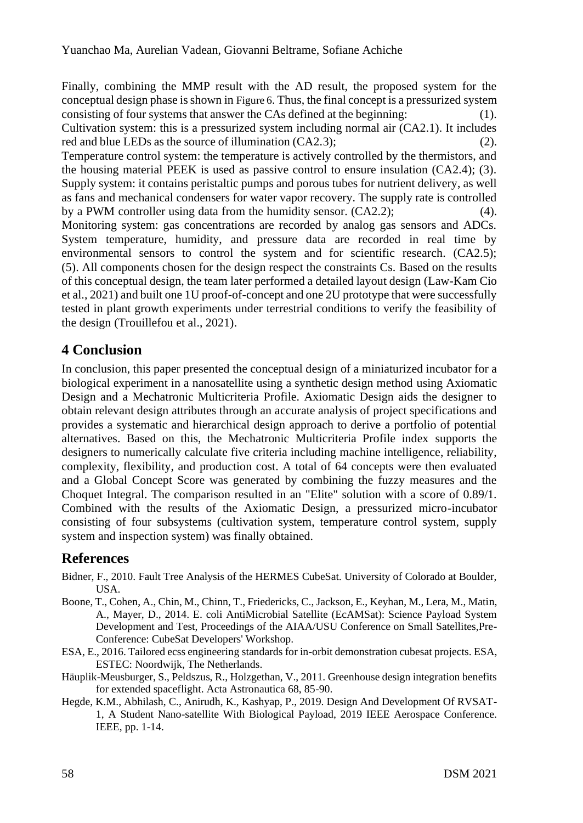Finally, combining the MMP result with the AD result, the proposed system for the conceptual design phase is shown in Figure 6. Thus, the final concept is a pressurized system consisting of four systems that answer the CAs defined at the beginning: (1). Cultivation system: this is a pressurized system including normal air (CA2.1). It includes red and blue LEDs as the source of illumination (CA2.3); (2). Temperature control system: the temperature is actively controlled by the thermistors, and the housing material PEEK is used as passive control to ensure insulation (CA2.4); (3). Supply system: it contains peristaltic pumps and porous tubes for nutrient delivery, as well as fans and mechanical condensers for water vapor recovery. The supply rate is controlled by a PWM controller using data from the humidity sensor. (CA2.2); (4). Monitoring system: gas concentrations are recorded by analog gas sensors and ADCs. System temperature, humidity, and pressure data are recorded in real time by environmental sensors to control the system and for scientific research. (CA2.5); (5). All components chosen for the design respect the constraints Cs. Based on the results of this conceptual design, the team later performed a detailed layout design (Law-Kam Cio et al., 2021) and built one 1U proof-of-concept and one 2U prototype that were successfully tested in plant growth experiments under terrestrial conditions to verify the feasibility of the design (Trouillefou et al., 2021).

# **4 Conclusion**

In conclusion, this paper presented the conceptual design of a miniaturized incubator for a biological experiment in a nanosatellite using a synthetic design method using Axiomatic Design and a Mechatronic Multicriteria Profile. Axiomatic Design aids the designer to obtain relevant design attributes through an accurate analysis of project specifications and provides a systematic and hierarchical design approach to derive a portfolio of potential alternatives. Based on this, the Mechatronic Multicriteria Profile index supports the designers to numerically calculate five criteria including machine intelligence, reliability, complexity, flexibility, and production cost. A total of 64 concepts were then evaluated and a Global Concept Score was generated by combining the fuzzy measures and the Choquet Integral. The comparison resulted in an "Elite" solution with a score of 0.89/1. Combined with the results of the Axiomatic Design, a pressurized micro-incubator consisting of four subsystems (cultivation system, temperature control system, supply system and inspection system) was finally obtained.

### **References**

- Bidner, F., 2010. Fault Tree Analysis of the HERMES CubeSat. University of Colorado at Boulder, USA.
- Boone, T., Cohen, A., Chin, M., Chinn, T., Friedericks, C., Jackson, E., Keyhan, M., Lera, M., Matin, A., Mayer, D., 2014. E. coli AntiMicrobial Satellite (EcAMSat): Science Payload System Development and Test, Proceedings of the AIAA/USU Conference on Small Satellites,Pre-Conference: CubeSat Developers' Workshop.
- ESA, E., 2016. Tailored ecss engineering standards for in-orbit demonstration cubesat projects. ESA, ESTEC: Noordwijk, The Netherlands.
- Häuplik-Meusburger, S., Peldszus, R., Holzgethan, V., 2011. Greenhouse design integration benefits for extended spaceflight. Acta Astronautica 68, 85-90.
- Hegde, K.M., Abhilash, C., Anirudh, K., Kashyap, P., 2019. Design And Development Of RVSAT-1, A Student Nano-satellite With Biological Payload, 2019 IEEE Aerospace Conference. IEEE, pp. 1-14.